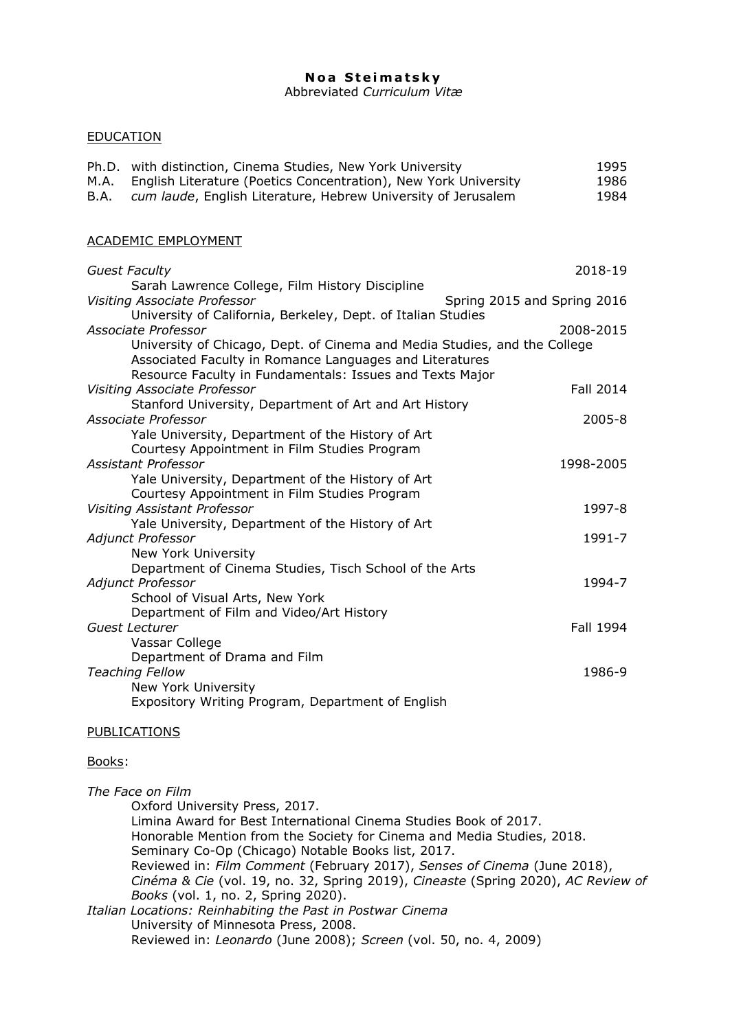# **Noa Steimatsky**

Abbreviated *Curriculum Vitæ*

## EDUCATION

| Ph.D. with distinction, Cinema Studies, New York University          | 1995 |
|----------------------------------------------------------------------|------|
| M.A. English Literature (Poetics Concentration), New York University | 1986 |
| B.A. cum laude, English Literature, Hebrew University of Jerusalem   | 1984 |

### ACADEMIC EMPLOYMENT

| <b>Guest Faculty</b>                                                      | 2018-19                     |
|---------------------------------------------------------------------------|-----------------------------|
| Sarah Lawrence College, Film History Discipline                           |                             |
| <b>Visiting Associate Professor</b>                                       | Spring 2015 and Spring 2016 |
| University of California, Berkeley, Dept. of Italian Studies              |                             |
| Associate Professor                                                       | 2008-2015                   |
| University of Chicago, Dept. of Cinema and Media Studies, and the College |                             |
| Associated Faculty in Romance Languages and Literatures                   |                             |
| Resource Faculty in Fundamentals: Issues and Texts Major                  |                             |
| Visiting Associate Professor                                              | Fall 2014                   |
| Stanford University, Department of Art and Art History                    |                             |
| Associate Professor                                                       | $2005 - 8$                  |
| Yale University, Department of the History of Art                         |                             |
| Courtesy Appointment in Film Studies Program                              |                             |
| <b>Assistant Professor</b>                                                | 1998-2005                   |
| Yale University, Department of the History of Art                         |                             |
| Courtesy Appointment in Film Studies Program                              |                             |
| <b>Visiting Assistant Professor</b>                                       | 1997-8                      |
| Yale University, Department of the History of Art                         |                             |
| Adjunct Professor                                                         | 1991-7                      |
| New York University                                                       |                             |
| Department of Cinema Studies, Tisch School of the Arts                    |                             |
| <b>Adjunct Professor</b>                                                  | 1994-7                      |
| School of Visual Arts, New York                                           |                             |
| Department of Film and Video/Art History                                  |                             |
| Guest Lecturer                                                            | Fall 1994                   |
| Vassar College                                                            |                             |
| Department of Drama and Film                                              |                             |
| <b>Teaching Fellow</b>                                                    | 1986-9                      |
| New York University                                                       |                             |
| Expository Writing Program, Department of English                         |                             |

### PUBLICATIONS

### Books:

*The Face on Film* Oxford University Press, 2017. Limina Award for Best International Cinema Studies Book of 2017. Honorable Mention from the Society for Cinema and Media Studies, 2018. Seminary Co-Op (Chicago) Notable Books list, 2017. Reviewed in: *Film Comment* (February 2017), *Senses of Cinema* (June 2018), *Cinéma & Cie* (vol. 19, no. 32, Spring 2019), *Cineaste* (Spring 2020), *AC Review of Books* (vol. 1, no. 2, Spring 2020). *Italian Locations: Reinhabiting the Past in Postwar Cinema* University of Minnesota Press, 2008. Reviewed in: *Leonardo* (June 2008); *Screen* (vol. 50, no. 4, 2009)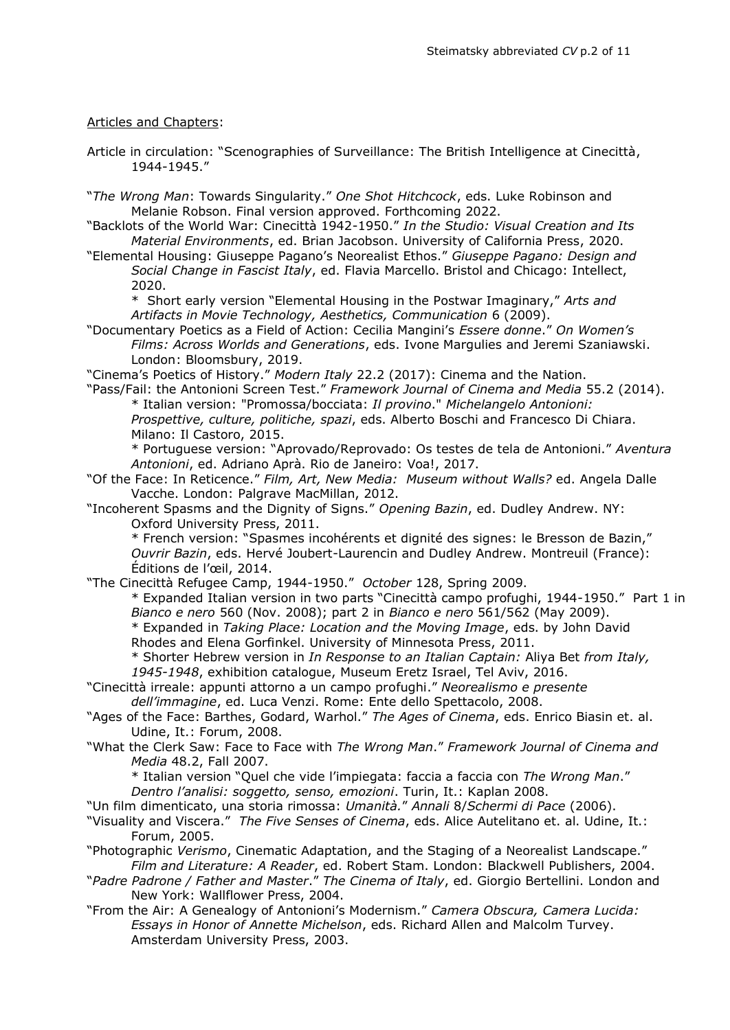## Articles and Chapters:

- Article in circulation: "Scenographies of Surveillance: The British Intelligence at Cinecittà, 1944-1945."
- "*The Wrong Man*: Towards Singularity." *One Shot Hitchcock*, eds. Luke Robinson and Melanie Robson. Final version approved. Forthcoming 2022.
- "Backlots of the World War: Cinecittà 1942-1950." *In the Studio: Visual Creation and Its Material Environments*, ed. Brian Jacobson. University of California Press, 2020.
- "Elemental Housing: Giuseppe Pagano's Neorealist Ethos." *Giuseppe Pagano: Design and Social Change in Fascist Italy*, ed. Flavia Marcello. Bristol and Chicago: Intellect, 2020.
	- \* Short early version "Elemental Housing in the Postwar Imaginary," *Arts and Artifacts in Movie Technology, Aesthetics, Communication* 6 (2009).
- "Documentary Poetics as a Field of Action: Cecilia Mangini's *Essere donne*." *On Women's Films: Across Worlds and Generations*, eds. Ivone Margulies and Jeremi Szaniawski. London: Bloomsbury, 2019.

"Cinema's Poetics of History." *Modern Italy* 22.2 (2017): Cinema and the Nation.

"Pass/Fail: the Antonioni Screen Test." *Framework Journal of Cinema and Media* 55.2 (2014). \* Italian version: "Promossa/bocciata: *Il provino*." *Michelangelo Antonioni: Prospettive, culture, politiche, spazi*, eds. Alberto Boschi and Francesco Di Chiara. Milano: Il Castoro, 2015.

\* Portuguese version: "Aprovado/Reprovado: Os testes de tela de Antonioni." *Aventura Antonioni*, ed. Adriano Aprà. Rio de Janeiro: Voa!, 2017.

"Of the Face: In Reticence." *Film, Art, New Media: Museum without Walls?* ed. Angela Dalle Vacche. London: Palgrave MacMillan, 2012.

"Incoherent Spasms and the Dignity of Signs." *Opening Bazin*, ed. Dudley Andrew. NY: Oxford University Press, 2011.

\* French version: "Spasmes incohérents et dignité des signes: le Bresson de Bazin," *Ouvrir Bazin*, eds. Hervé Joubert-Laurencin and Dudley Andrew. Montreuil (France): Éditions de l'œil, 2014.

"The Cinecittà Refugee Camp, 1944-1950." *October* 128, Spring 2009.

\* Expanded Italian version in two parts "Cinecittà campo profughi, 1944-1950." Part 1 in *Bianco e nero* 560 (Nov. 2008); part 2 in *Bianco e nero* 561/562 (May 2009).

\* Expanded in *Taking Place: Location and the Moving Image*, eds. by John David

Rhodes and Elena Gorfinkel. University of Minnesota Press, 2011.

- \* Shorter Hebrew version in *In Response to an Italian Captain:* Aliya Bet *from Italy, 1945-1948*, exhibition catalogue, Museum Eretz Israel, Tel Aviv, 2016.
- "Cinecittà irreale: appunti attorno a un campo profughi." *Neorealismo e presente* 
	- *dell'immagine*, ed. Luca Venzi. Rome: Ente dello Spettacolo, 2008.
- "Ages of the Face: Barthes, Godard, Warhol." *The Ages of Cinema*, eds. Enrico Biasin et. al. Udine, It.: Forum, 2008.
- "What the Clerk Saw: Face to Face with *The Wrong Man*." *Framework Journal of Cinema and Media* 48.2, Fall 2007.

\* Italian version "Quel che vide l'impiegata: faccia a faccia con *The Wrong Man*." *Dentro l'analisi: soggetto, senso, emozioni*. Turin, It.: Kaplan 2008.

"Un film dimenticato, una storia rimossa: *Umanità.*" *Annali* 8/*Schermi di Pace* (2006).

- "Visuality and Viscera." *The Five Senses of Cinema*, eds. Alice Autelitano et. al. Udine, It.: Forum, 2005.
- "Photographic *Verismo*, Cinematic Adaptation, and the Staging of a Neorealist Landscape." *Film and Literature: A Reader*, ed. Robert Stam. London: Blackwell Publishers, 2004.
- "*Padre Padrone / Father and Master*." *The Cinema of Italy*, ed. Giorgio Bertellini. London and New York: Wallflower Press, 2004.
- "From the Air: A Genealogy of Antonioni's Modernism." *Camera Obscura, Camera Lucida: Essays in Honor of Annette Michelson*, eds. Richard Allen and Malcolm Turvey. Amsterdam University Press, 2003.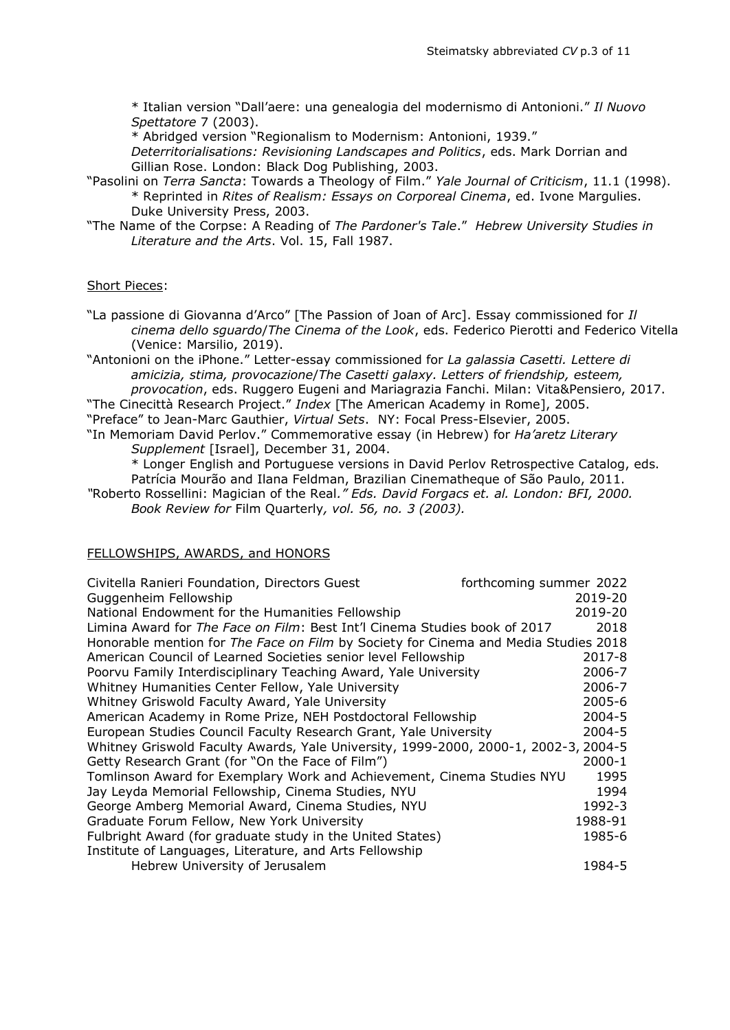\* Italian version "Dall'aere: una genealogia del modernismo di Antonioni." *Il Nuovo Spettatore* 7 (2003).

\* Abridged version "Regionalism to Modernism: Antonioni, 1939."

*Deterritorialisations: Revisioning Landscapes and Politics*, eds. Mark Dorrian and Gillian Rose. London: Black Dog Publishing, 2003.

- "Pasolini on *Terra Sancta*: Towards a Theology of Film." *Yale Journal of Criticism*, 11.1 (1998). \* Reprinted in *Rites of Realism: Essays on Corporeal Cinema*, ed. Ivone Margulies. Duke University Press, 2003.
- "The Name of the Corpse: A Reading of *The Pardoner's Tale*." *Hebrew University Studies in Literature and the Arts*. Vol. 15, Fall 1987.

## Short Pieces:

"La passione di Giovanna d'Arco" [The Passion of Joan of Arc]. Essay commissioned for *Il cinema dello sguardo*/*The Cinema of the Look*, eds. Federico Pierotti and Federico Vitella (Venice: Marsilio, 2019).

"Antonioni on the iPhone." Letter-essay commissioned for *La galassia Casetti. Lettere di amicizia, stima, provocazione*/*The Casetti galaxy. Letters of friendship, esteem, provocation*, eds. Ruggero Eugeni and Mariagrazia Fanchi. Milan: Vita&Pensiero, 2017.

"The Cinecittà Research Project." *Index* [The American Academy in Rome], 2005. "Preface" to Jean-Marc Gauthier, *Virtual Sets*. NY: Focal Press-Elsevier, 2005. "In Memoriam David Perlov." Commemorative essay (in Hebrew) for *Ha'aretz Literary* 

*Supplement* [Israel], December 31, 2004.

\* Longer English and Portuguese versions in David Perlov Retrospective Catalog, eds. Patrícia Mourão and Ilana Feldman, Brazilian Cinematheque of São Paulo, 2011.

*"*Roberto Rossellini: Magician of the Real*." Eds. David Forgacs et. al. London: BFI, 2000. Book Review for* Film Quarterly*, vol. 56, no. 3 (2003).*

### FELLOWSHIPS, AWARDS, and HONORS

| Civitella Ranieri Foundation, Directors Guest                                       | forthcoming summer 2022 |  |  |
|-------------------------------------------------------------------------------------|-------------------------|--|--|
| Guggenheim Fellowship                                                               | 2019-20                 |  |  |
| National Endowment for the Humanities Fellowship                                    | 2019-20                 |  |  |
| Limina Award for The Face on Film: Best Int'l Cinema Studies book of 2017           | 2018                    |  |  |
| Honorable mention for The Face on Film by Society for Cinema and Media Studies 2018 |                         |  |  |
| American Council of Learned Societies senior level Fellowship                       | 2017-8                  |  |  |
| Poorvu Family Interdisciplinary Teaching Award, Yale University                     | 2006-7                  |  |  |
| Whitney Humanities Center Fellow, Yale University                                   | 2006-7                  |  |  |
| Whitney Griswold Faculty Award, Yale University                                     | $2005 - 6$              |  |  |
| American Academy in Rome Prize, NEH Postdoctoral Fellowship                         | 2004-5                  |  |  |
| European Studies Council Faculty Research Grant, Yale University                    | $2004 - 5$              |  |  |
| Whitney Griswold Faculty Awards, Yale University, 1999-2000, 2000-1, 2002-3, 2004-5 |                         |  |  |
| Getty Research Grant (for "On the Face of Film")                                    | 2000-1                  |  |  |
| Tomlinson Award for Exemplary Work and Achievement, Cinema Studies NYU              | 1995                    |  |  |
| Jay Leyda Memorial Fellowship, Cinema Studies, NYU                                  | 1994                    |  |  |
| George Amberg Memorial Award, Cinema Studies, NYU                                   | 1992-3                  |  |  |
| Graduate Forum Fellow, New York University                                          | 1988-91                 |  |  |
| Fulbright Award (for graduate study in the United States)                           | 1985-6                  |  |  |
| Institute of Languages, Literature, and Arts Fellowship                             |                         |  |  |
| Hebrew University of Jerusalem                                                      | 1984-5                  |  |  |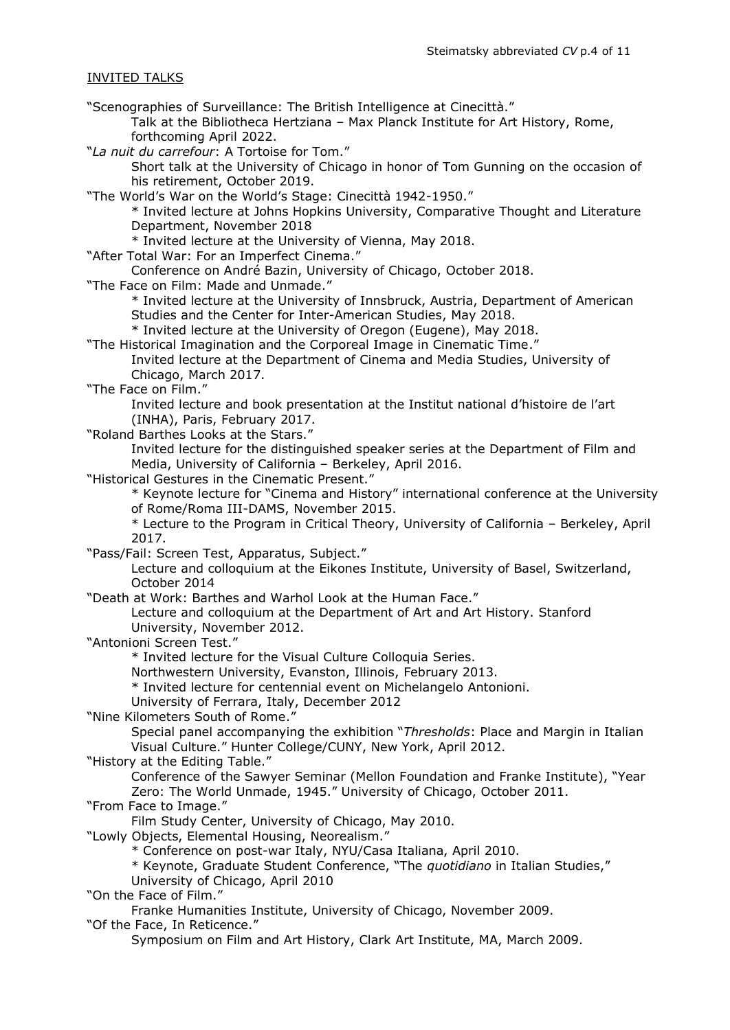# INVITED TALKS

"Scenographies of Surveillance: The British Intelligence at Cinecittà." Talk at the Bibliotheca Hertziana – Max Planck Institute for Art History, Rome, forthcoming April 2022. "*La nuit du carrefour*: A Tortoise for Tom." Short talk at the University of Chicago in honor of Tom Gunning on the occasion of his retirement, October 2019. "The World's War on the World's Stage: Cinecittà 1942-1950." \* Invited lecture at Johns Hopkins University, Comparative Thought and Literature Department, November 2018 \* Invited lecture at the University of Vienna, May 2018. "After Total War: For an Imperfect Cinema." Conference on André Bazin, University of Chicago, October 2018. "The Face on Film: Made and Unmade." \* Invited lecture at the University of Innsbruck, Austria, Department of American Studies and the Center for Inter-American Studies, May 2018. \* Invited lecture at the University of Oregon (Eugene), May 2018. "The Historical Imagination and the Corporeal Image in Cinematic Time." Invited lecture at the Department of Cinema and Media Studies, University of Chicago, March 2017. "The Face on Film." Invited lecture and book presentation at the Institut national d'histoire de l'art (INHA), Paris, February 2017. "Roland Barthes Looks at the Stars." Invited lecture for the distinguished speaker series at the Department of Film and Media, University of California – Berkeley, April 2016. "Historical Gestures in the Cinematic Present." \* Keynote lecture for "Cinema and History" international conference at the University of Rome/Roma III-DAMS, November 2015. \* Lecture to the Program in Critical Theory, University of California – Berkeley, April 2017. "Pass/Fail: Screen Test, Apparatus, Subject." Lecture and colloquium at the Eikones Institute, University of Basel, Switzerland, October 2014 "Death at Work: Barthes and Warhol Look at the Human Face." Lecture and colloquium at the Department of Art and Art History. Stanford University, November 2012. "Antonioni Screen Test." \* Invited lecture for the Visual Culture Colloquia Series. Northwestern University, Evanston, Illinois, February 2013. \* Invited lecture for centennial event on Michelangelo Antonioni. University of Ferrara, Italy, December 2012 "Nine Kilometers South of Rome." Special panel accompanying the exhibition "*Thresholds*: Place and Margin in Italian Visual Culture." Hunter College/CUNY, New York, April 2012. "History at the Editing Table." Conference of the Sawyer Seminar (Mellon Foundation and Franke Institute), "Year Zero: The World Unmade, 1945." University of Chicago, October 2011. "From Face to Image." Film Study Center, University of Chicago, May 2010. "Lowly Objects, Elemental Housing, Neorealism." \* Conference on post-war Italy, NYU/Casa Italiana, April 2010. \* Keynote, Graduate Student Conference, "The *quotidiano* in Italian Studies," University of Chicago, April 2010 "On the Face of Film." Franke Humanities Institute, University of Chicago, November 2009. "Of the Face, In Reticence." Symposium on Film and Art History, Clark Art Institute, MA, March 2009.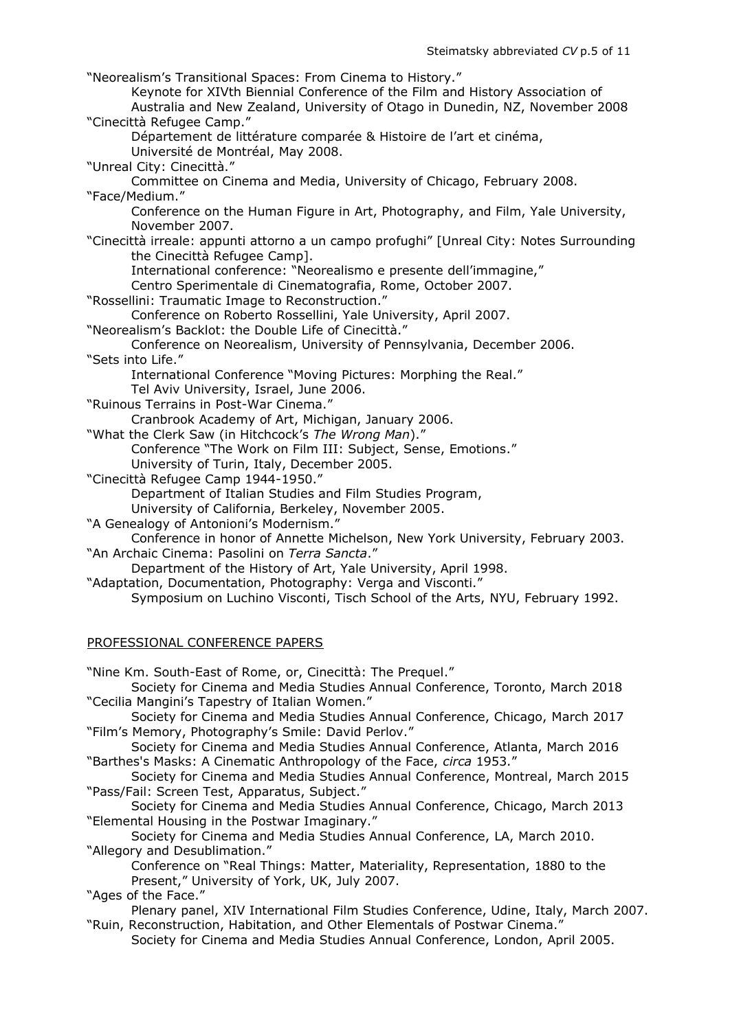"Neorealism's Transitional Spaces: From Cinema to History." Keynote for XIVth Biennial Conference of the Film and History Association of Australia and New Zealand, University of Otago in Dunedin, NZ, November 2008 "Cinecittà Refugee Camp." Département de littérature comparée & Histoire de l'art et cinéma, Université de Montréal, May 2008. "Unreal City: Cinecittà." Committee on Cinema and Media, University of Chicago, February 2008. "Face/Medium." Conference on the Human Figure in Art, Photography, and Film, Yale University, November 2007. "Cinecittà irreale: appunti attorno a un campo profughi" [Unreal City: Notes Surrounding the Cinecittà Refugee Camp]. International conference: "Neorealismo e presente dell'immagine," Centro Sperimentale di Cinematografia, Rome, October 2007. "Rossellini: Traumatic Image to Reconstruction." Conference on Roberto Rossellini, Yale University, April 2007. "Neorealism's Backlot: the Double Life of Cinecittà." Conference on Neorealism, University of Pennsylvania, December 2006. "Sets into Life." International Conference "Moving Pictures: Morphing the Real." Tel Aviv University, Israel, June 2006. "Ruinous Terrains in Post-War Cinema." Cranbrook Academy of Art, Michigan, January 2006. "What the Clerk Saw (in Hitchcock's *The Wrong Man*)." Conference "The Work on Film III: Subject, Sense, Emotions." University of Turin, Italy, December 2005. "Cinecittà Refugee Camp 1944-1950." Department of Italian Studies and Film Studies Program, University of California, Berkeley, November 2005. "A Genealogy of Antonioni's Modernism." Conference in honor of Annette Michelson, New York University, February 2003. "An Archaic Cinema: Pasolini on *Terra Sancta*." Department of the History of Art, Yale University, April 1998. "Adaptation, Documentation, Photography: Verga and Visconti."

# Symposium on Luchino Visconti, Tisch School of the Arts, NYU, February 1992.

## PROFESSIONAL CONFERENCE PAPERS

"Nine Km. South-East of Rome, or, Cinecittà: The Prequel."

Society for Cinema and Media Studies Annual Conference, Toronto, March 2018 "Cecilia Mangini's Tapestry of Italian Women."

Society for Cinema and Media Studies Annual Conference, Chicago, March 2017 "Film's Memory, Photography's Smile: David Perlov."

Society for Cinema and Media Studies Annual Conference, Atlanta, March 2016 "Barthes's Masks: A Cinematic Anthropology of the Face, *circa* 1953."

Society for Cinema and Media Studies Annual Conference, Montreal, March 2015 "Pass/Fail: Screen Test, Apparatus, Subject."

Society for Cinema and Media Studies Annual Conference, Chicago, March 2013 "Elemental Housing in the Postwar Imaginary."

Society for Cinema and Media Studies Annual Conference, LA, March 2010. "Allegory and Desublimation."

Conference on "Real Things: Matter, Materiality, Representation, 1880 to the Present," University of York, UK, July 2007.

"Ages of the Face."

Plenary panel, XIV International Film Studies Conference, Udine, Italy, March 2007. "Ruin, Reconstruction, Habitation, and Other Elementals of Postwar Cinema."

Society for Cinema and Media Studies Annual Conference, London, April 2005.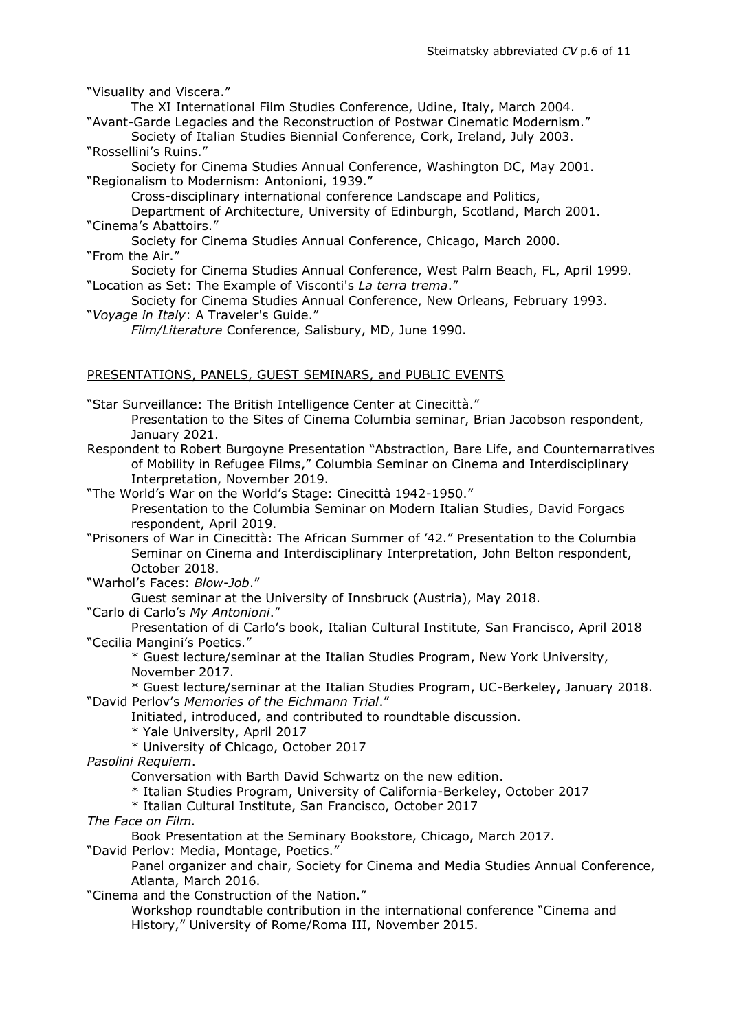"Visuality and Viscera."

The XI International Film Studies Conference, Udine, Italy, March 2004. "Avant-Garde Legacies and the Reconstruction of Postwar Cinematic Modernism."

Society of Italian Studies Biennial Conference, Cork, Ireland, July 2003. "Rossellini's Ruins."

Society for Cinema Studies Annual Conference, Washington DC, May 2001. "Regionalism to Modernism: Antonioni, 1939."

Cross-disciplinary international conference Landscape and Politics,

Department of Architecture, University of Edinburgh, Scotland, March 2001. "Cinema's Abattoirs."

Society for Cinema Studies Annual Conference, Chicago, March 2000. "From the Air."

Society for Cinema Studies Annual Conference, West Palm Beach, FL, April 1999. "Location as Set: The Example of Visconti's *La terra trema*."

Society for Cinema Studies Annual Conference, New Orleans, February 1993. "*Voyage in Italy*: A Traveler's Guide."

*Film/Literature* Conference, Salisbury, MD, June 1990.

# PRESENTATIONS, PANELS, GUEST SEMINARS, and PUBLIC EVENTS

"Star Surveillance: The British Intelligence Center at Cinecittà."

Presentation to the Sites of Cinema Columbia seminar, Brian Jacobson respondent, January 2021.

Respondent to Robert Burgoyne Presentation "Abstraction, Bare Life, and Counternarratives of Mobility in Refugee Films," Columbia Seminar on Cinema and Interdisciplinary Interpretation, November 2019.

"The World's War on the World's Stage: Cinecittà 1942-1950."

Presentation to the Columbia Seminar on Modern Italian Studies, David Forgacs respondent, April 2019.

"Prisoners of War in Cinecittà: The African Summer of '42." Presentation to the Columbia Seminar on Cinema and Interdisciplinary Interpretation, John Belton respondent, October 2018.

"Warhol's Faces: *Blow-Job*."

Guest seminar at the University of Innsbruck (Austria), May 2018.

"Carlo di Carlo's *My Antonioni*."

Presentation of di Carlo's book, Italian Cultural Institute, San Francisco, April 2018 "Cecilia Mangini's Poetics."

\* Guest lecture/seminar at the Italian Studies Program, New York University, November 2017.

\* Guest lecture/seminar at the Italian Studies Program, UC-Berkeley, January 2018. "David Perlov's *Memories of the Eichmann Trial*."

Initiated, introduced, and contributed to roundtable discussion.

\* Yale University, April 2017

\* University of Chicago, October 2017

*Pasolini Requiem*.

Conversation with Barth David Schwartz on the new edition.

\* Italian Studies Program, University of California-Berkeley, October 2017

\* Italian Cultural Institute, San Francisco, October 2017

*The Face on Film.*

Book Presentation at the Seminary Bookstore, Chicago, March 2017.

"David Perlov: Media, Montage, Poetics."

Panel organizer and chair, Society for Cinema and Media Studies Annual Conference, Atlanta, March 2016.

"Cinema and the Construction of the Nation."

Workshop roundtable contribution in the international conference "Cinema and History," University of Rome/Roma III, November 2015.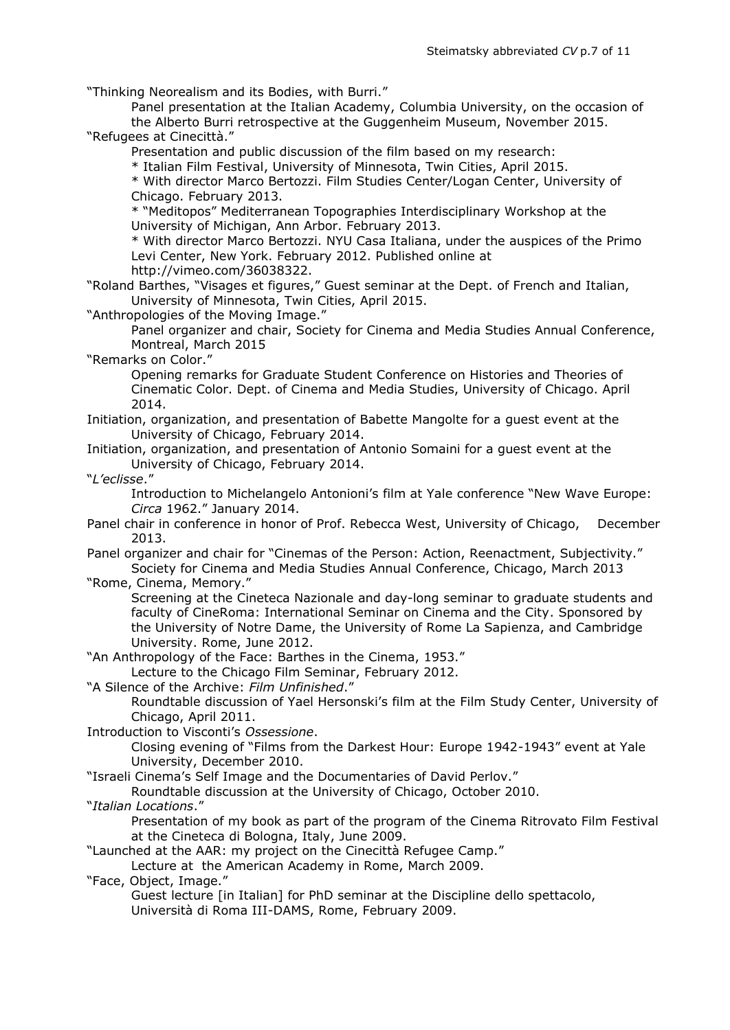"Thinking Neorealism and its Bodies, with Burri."

Panel presentation at the Italian Academy, Columbia University, on the occasion of the Alberto Burri retrospective at the Guggenheim Museum, November 2015. "Refugees at Cinecittà."

Presentation and public discussion of the film based on my research:

\* Italian Film Festival, University of Minnesota, Twin Cities, April 2015.

\* With director Marco Bertozzi. Film Studies Center/Logan Center, University of Chicago. February 2013.

\* "Meditopos" Mediterranean Topographies Interdisciplinary Workshop at the University of Michigan, Ann Arbor. February 2013.

\* With director Marco Bertozzi. NYU Casa Italiana, under the auspices of the Primo Levi Center, New York. February 2012. Published online at

[http://vimeo.com/36038322.](http://vimeo.com/36038322)

"Roland Barthes, "Visages et figures," Guest seminar at the Dept. of French and Italian, University of Minnesota, Twin Cities, April 2015.

"Anthropologies of the Moving Image."

Panel organizer and chair, Society for Cinema and Media Studies Annual Conference, Montreal, March 2015

"Remarks on Color."

Opening remarks for Graduate Student Conference on Histories and Theories of Cinematic Color. Dept. of Cinema and Media Studies, University of Chicago. April 2014.

Initiation, organization, and presentation of Babette Mangolte for a guest event at the University of Chicago, February 2014.

Initiation, organization, and presentation of Antonio Somaini for a guest event at the University of Chicago, February 2014.

"*L'eclisse*."

Introduction to Michelangelo Antonioni's film at Yale conference "New Wave Europe: *Circa* 1962." January 2014.

Panel chair in conference in honor of Prof. Rebecca West, University of Chicago, December 2013.

Panel organizer and chair for "Cinemas of the Person: Action, Reenactment, Subjectivity." Society for Cinema and Media Studies Annual Conference, Chicago, March 2013

"Rome, Cinema, Memory."

Screening at the Cineteca Nazionale and day-long seminar to graduate students and faculty of CineRoma: International Seminar on Cinema and the City. Sponsored by the University of Notre Dame, the University of Rome La Sapienza, and Cambridge University. Rome, June 2012.

"An Anthropology of the Face: Barthes in the Cinema, 1953."

Lecture to the Chicago Film Seminar, February 2012.

"A Silence of the Archive: *Film Unfinished*."

Roundtable discussion of Yael Hersonski's film at the Film Study Center, University of Chicago, April 2011.

Introduction to Visconti's *Ossessione*.

Closing evening of "Films from the Darkest Hour: Europe 1942-1943" event at Yale University, December 2010.

"Israeli Cinema's Self Image and the Documentaries of David Perlov."

Roundtable discussion at the University of Chicago, October 2010.

"*Italian Locations*."

Presentation of my book as part of the program of the Cinema Ritrovato Film Festival at the Cineteca di Bologna, Italy, June 2009.

"Launched at the AAR: my project on the Cinecittà Refugee Camp."

Lecture at the American Academy in Rome, March 2009.

"Face, Object, Image."

Guest lecture [in Italian] for PhD seminar at the Discipline dello spettacolo, Università di Roma III-DAMS, Rome, February 2009.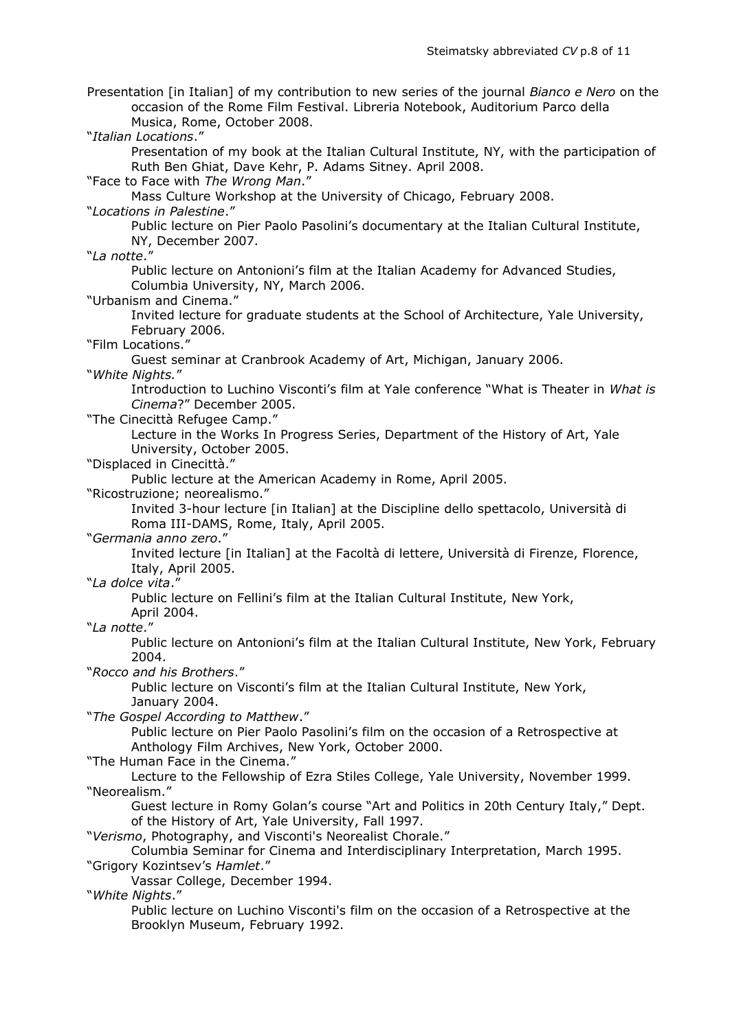Presentation [in Italian] of my contribution to new series of the journal *Bianco e Nero* on the occasion of the Rome Film Festival. Libreria Notebook, Auditorium Parco della Musica, Rome, October 2008. "*Italian Locations*." Presentation of my book at the Italian Cultural Institute, NY, with the participation of Ruth Ben Ghiat, Dave Kehr, P. Adams Sitney. April 2008. "Face to Face with *The Wrong Man*." Mass Culture Workshop at the University of Chicago, February 2008. "*Locations in Palestine*." Public lecture on Pier Paolo Pasolini's documentary at the Italian Cultural Institute, NY, December 2007. "*La notte*." Public lecture on Antonioni's film at the Italian Academy for Advanced Studies, Columbia University, NY, March 2006. "Urbanism and Cinema." Invited lecture for graduate students at the School of Architecture, Yale University, February 2006. "Film Locations." Guest seminar at Cranbrook Academy of Art, Michigan, January 2006. "*White Nights.*" Introduction to Luchino Visconti's film at Yale conference "What is Theater in *What is Cinema*?" December 2005. "The Cinecittà Refugee Camp." Lecture in the Works In Progress Series, Department of the History of Art, Yale University, October 2005. "Displaced in Cinecittà." Public lecture at the American Academy in Rome, April 2005. "Ricostruzione; neorealismo." Invited 3-hour lecture [in Italian] at the Discipline dello spettacolo, Università di Roma III-DAMS, Rome, Italy, April 2005. "*Germania anno zero*." Invited lecture [in Italian] at the Facoltà di lettere, Università di Firenze, Florence, Italy, April 2005. "*La dolce vita*." Public lecture on Fellini's film at the Italian Cultural Institute, New York, April 2004. "*La notte*." Public lecture on Antonioni's film at the Italian Cultural Institute, New York, February 2004. "*Rocco and his Brothers*." Public lecture on Visconti's film at the Italian Cultural Institute, New York, January 2004. "*The Gospel According to Matthew*." Public lecture on Pier Paolo Pasolini's film on the occasion of a Retrospective at Anthology Film Archives, New York, October 2000. "The Human Face in the Cinema." Lecture to the Fellowship of Ezra Stiles College, Yale University, November 1999. "Neorealism." Guest lecture in Romy Golan's course "Art and Politics in 20th Century Italy," Dept. of the History of Art, Yale University, Fall 1997. "*Verismo*, Photography, and Visconti's Neorealist Chorale." Columbia Seminar for Cinema and Interdisciplinary Interpretation, March 1995. "Grigory Kozintsev's *Hamlet*." Vassar College, December 1994. "*White Nights*." Public lecture on Luchino Visconti's film on the occasion of a Retrospective at the Brooklyn Museum, February 1992.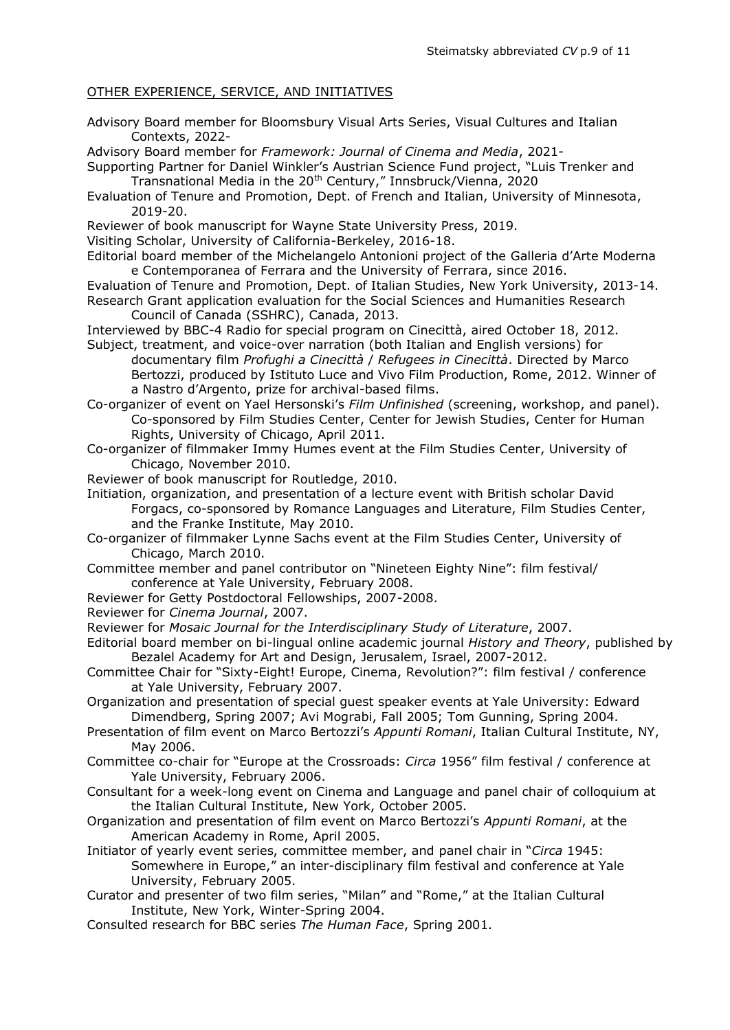# OTHER EXPERIENCE, SERVICE, AND INITIATIVES

Advisory Board member for Bloomsbury Visual Arts Series, Visual Cultures and Italian Contexts, 2022-

Advisory Board member for *Framework: Journal of Cinema and Media*, 2021-

- Supporting Partner for Daniel Winkler's Austrian Science Fund project, "Luis Trenker and Transnational Media in the 20<sup>th</sup> Century," Innsbruck/Vienna, 2020
- Evaluation of Tenure and Promotion, Dept. of French and Italian, University of Minnesota, 2019-20.

Reviewer of book manuscript for Wayne State University Press, 2019.

Visiting Scholar, University of California-Berkeley, 2016-18.

- Editorial board member of the Michelangelo Antonioni project of the Galleria d'Arte Moderna e Contemporanea of Ferrara and the University of Ferrara, since 2016.
- Evaluation of Tenure and Promotion, Dept. of Italian Studies, New York University, 2013-14. Research Grant application evaluation for the Social Sciences and Humanities Research Council of Canada (SSHRC), Canada, 2013.

Interviewed by BBC-4 Radio for special program on Cinecittà, aired October 18, 2012.

Subject, treatment, and voice-over narration (both Italian and English versions) for documentary film *Profughi a Cinecittà* / *Refugees in Cinecittà*. Directed by Marco Bertozzi, produced by Istituto Luce and Vivo Film Production, Rome, 2012. Winner of a Nastro d'Argento, prize for archival-based films.

Co-organizer of event on Yael Hersonski's *Film Unfinished* (screening, workshop, and panel). Co-sponsored by Film Studies Center, Center for Jewish Studies, Center for Human Rights, University of Chicago, April 2011.

- Co-organizer of filmmaker Immy Humes event at the Film Studies Center, University of Chicago, November 2010.
- Reviewer of book manuscript for Routledge, 2010.
- Initiation, organization, and presentation of a lecture event with British scholar David Forgacs, co-sponsored by Romance Languages and Literature, Film Studies Center, and the Franke Institute, May 2010.

Co-organizer of filmmaker Lynne Sachs event at the Film Studies Center, University of Chicago, March 2010.

Committee member and panel contributor on "Nineteen Eighty Nine": film festival/ conference at Yale University, February 2008.

- Reviewer for Getty Postdoctoral Fellowships, 2007-2008.
- Reviewer for *Cinema Journal*, 2007.

Reviewer for *Mosaic Journal for the Interdisciplinary Study of Literature*, 2007.

- Editorial board member on bi-lingual online academic journal *History and Theory*, published by Bezalel Academy for Art and Design, Jerusalem, Israel, 2007-2012.
- Committee Chair for "Sixty-Eight! Europe, Cinema, Revolution?": film festival / conference at Yale University, February 2007.

Organization and presentation of special guest speaker events at Yale University: Edward Dimendberg, Spring 2007; Avi Mograbi, Fall 2005; Tom Gunning, Spring 2004.

- Presentation of film event on Marco Bertozzi's *Appunti Romani*, Italian Cultural Institute, NY, May 2006.
- Committee co-chair for "Europe at the Crossroads: *Circa* 1956" film festival / conference at Yale University, February 2006.
- Consultant for a week-long event on Cinema and Language and panel chair of colloquium at the Italian Cultural Institute, New York, October 2005.
- Organization and presentation of film event on Marco Bertozzi's *Appunti Romani*, at the American Academy in Rome, April 2005.

Initiator of yearly event series, committee member, and panel chair in "*Circa* 1945: Somewhere in Europe," an inter-disciplinary film festival and conference at Yale University, February 2005.

- Curator and presenter of two film series, "Milan" and "Rome," at the Italian Cultural Institute, New York, Winter-Spring 2004.
- Consulted research for BBC series *The Human Face*, Spring 2001.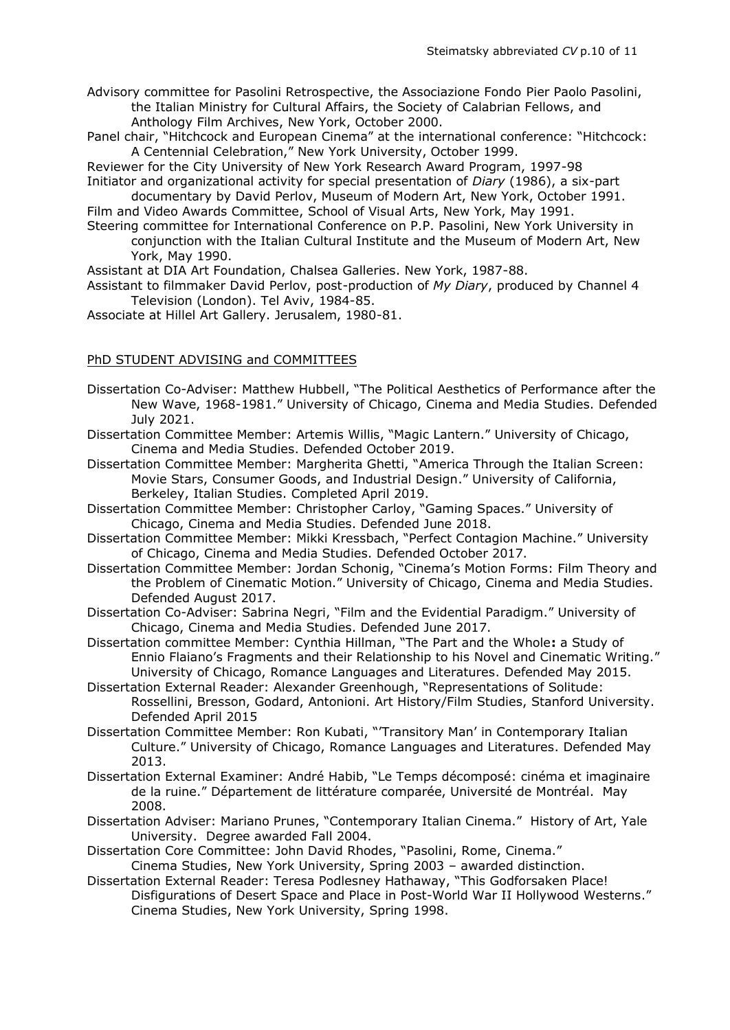Advisory committee for Pasolini Retrospective, the Associazione Fondo Pier Paolo Pasolini, the Italian Ministry for Cultural Affairs, the Society of Calabrian Fellows, and Anthology Film Archives, New York, October 2000.

Panel chair, "Hitchcock and European Cinema" at the international conference: "Hitchcock: A Centennial Celebration," New York University, October 1999.

Reviewer for the City University of New York Research Award Program, 1997-98 Initiator and organizational activity for special presentation of *Diary* (1986), a six-part

documentary by David Perlov, Museum of Modern Art, New York, October 1991. Film and Video Awards Committee, School of Visual Arts, New York, May 1991.

Steering committee for International Conference on P.P. Pasolini, New York University in conjunction with the Italian Cultural Institute and the Museum of Modern Art, New

York, May 1990.

Assistant at DIA Art Foundation, Chalsea Galleries. New York, 1987-88.

Assistant to filmmaker David Perlov, post-production of *My Diary*, produced by Channel 4 Television (London). Tel Aviv, 1984-85.

Associate at Hillel Art Gallery. Jerusalem, 1980-81.

## PhD STUDENT ADVISING and COMMITTEES

- Dissertation Co-Adviser: Matthew Hubbell, "The Political Aesthetics of Performance after the New Wave, 1968-1981." University of Chicago, Cinema and Media Studies. Defended July 2021.
- Dissertation Committee Member: Artemis Willis, "Magic Lantern." University of Chicago, Cinema and Media Studies. Defended October 2019.
- Dissertation Committee Member: Margherita Ghetti, "America Through the Italian Screen: Movie Stars, Consumer Goods, and Industrial Design." University of California, Berkeley, Italian Studies. Completed April 2019.
- Dissertation Committee Member: Christopher Carloy, "Gaming Spaces." University of Chicago, Cinema and Media Studies. Defended June 2018.
- Dissertation Committee Member: Mikki Kressbach, "Perfect Contagion Machine." University of Chicago, Cinema and Media Studies. Defended October 2017.
- Dissertation Committee Member: Jordan Schonig, "Cinema's Motion Forms: Film Theory and the Problem of Cinematic Motion." University of Chicago, Cinema and Media Studies. Defended August 2017.
- Dissertation Co-Adviser: Sabrina Negri, "Film and the Evidential Paradigm." University of Chicago, Cinema and Media Studies. Defended June 2017.
- Dissertation committee Member: Cynthia Hillman, "The Part and the Whole**:** a Study of Ennio Flaiano's Fragments and their Relationship to his Novel and Cinematic Writing." University of Chicago, Romance Languages and Literatures. Defended May 2015.
- Dissertation External Reader: Alexander Greenhough, "Representations of Solitude: Rossellini, Bresson, Godard, Antonioni. Art History/Film Studies, Stanford University. Defended April 2015
- Dissertation Committee Member: Ron Kubati, "'Transitory Man' in Contemporary Italian Culture." University of Chicago, Romance Languages and Literatures. Defended May 2013.
- Dissertation External Examiner: André Habib, "Le Temps décomposé: cinéma et imaginaire de la ruine." Département de littérature comparée, Université de Montréal. May 2008.
- Dissertation Adviser: Mariano Prunes, "Contemporary Italian Cinema." History of Art, Yale University. Degree awarded Fall 2004.
- Dissertation Core Committee: John David Rhodes, "Pasolini, Rome, Cinema." Cinema Studies, New York University, Spring 2003 – awarded distinction.
- Dissertation External Reader: Teresa Podlesney Hathaway, "This Godforsaken Place! Disfigurations of Desert Space and Place in Post-World War II Hollywood Westerns." Cinema Studies, New York University, Spring 1998.